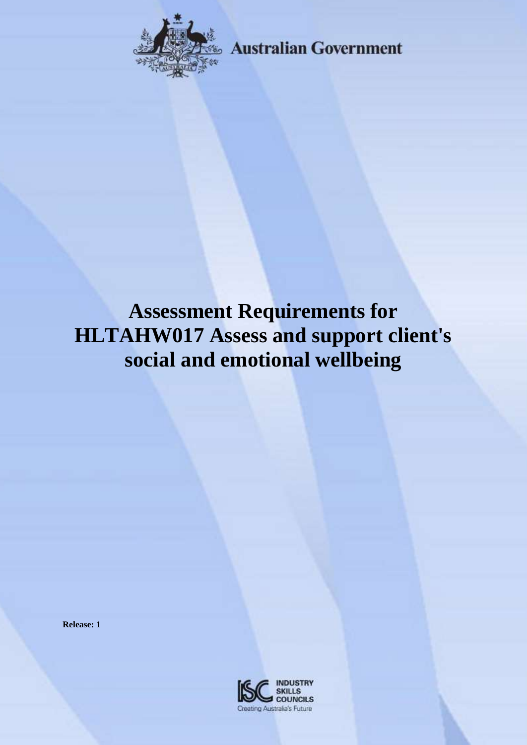

**Australian Government** 

# **Assessment Requirements for HLTAHW017 Assess and support client's social and emotional wellbeing**

**Release: 1**

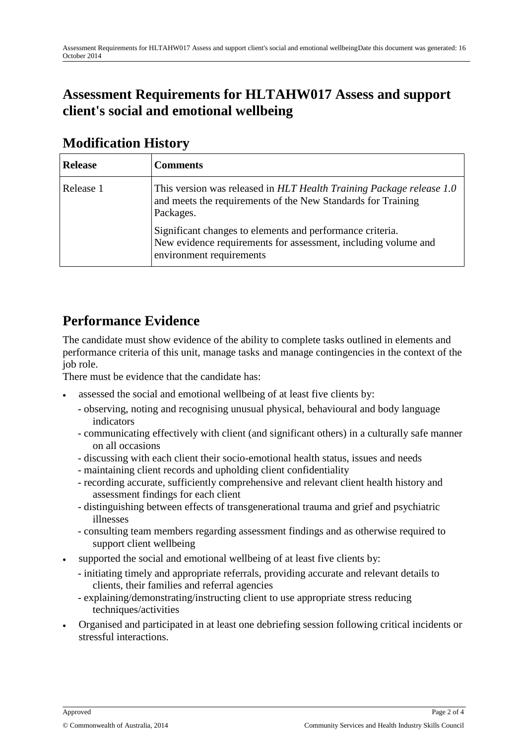#### **Assessment Requirements for HLTAHW017 Assess and support client's social and emotional wellbeing**

| <b>Release</b> | <b>Comments</b>                                                                                                                                         |
|----------------|---------------------------------------------------------------------------------------------------------------------------------------------------------|
| Release 1      | This version was released in HLT Health Training Package release 1.0<br>and meets the requirements of the New Standards for Training<br>Packages.       |
|                | Significant changes to elements and performance criteria.<br>New evidence requirements for assessment, including volume and<br>environment requirements |

#### **Modification History**

#### **Performance Evidence**

The candidate must show evidence of the ability to complete tasks outlined in elements and performance criteria of this unit, manage tasks and manage contingencies in the context of the job role.

There must be evidence that the candidate has:

- assessed the social and emotional wellbeing of at least five clients by:
	- observing, noting and recognising unusual physical, behavioural and body language indicators
	- communicating effectively with client (and significant others) in a culturally safe manner on all occasions
	- discussing with each client their socio-emotional health status, issues and needs
	- maintaining client records and upholding client confidentiality
	- recording accurate, sufficiently comprehensive and relevant client health history and assessment findings for each client
	- distinguishing between effects of transgenerational trauma and grief and psychiatric illnesses
	- consulting team members regarding assessment findings and as otherwise required to support client wellbeing
- supported the social and emotional wellbeing of at least five clients by:
	- initiating timely and appropriate referrals, providing accurate and relevant details to clients, their families and referral agencies
	- explaining/demonstrating/instructing client to use appropriate stress reducing techniques/activities
- Organised and participated in at least one debriefing session following critical incidents or stressful interactions.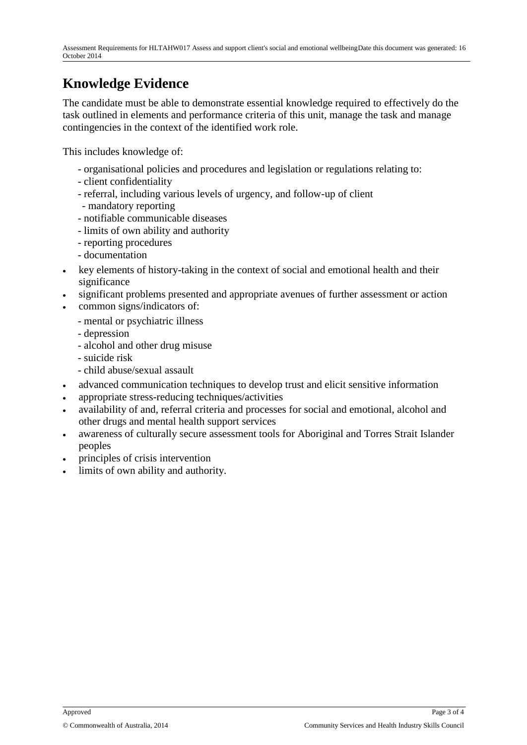## **Knowledge Evidence**

The candidate must be able to demonstrate essential knowledge required to effectively do the task outlined in elements and performance criteria of this unit, manage the task and manage contingencies in the context of the identified work role.

This includes knowledge of:

- organisational policies and procedures and legislation or regulations relating to:
- client confidentiality
- referral, including various levels of urgency, and follow-up of client
- mandatory reporting
- notifiable communicable diseases
- limits of own ability and authority
- reporting procedures
- documentation
- key elements of history-taking in the context of social and emotional health and their significance
- significant problems presented and appropriate avenues of further assessment or action
- common signs/indicators of:
	- mental or psychiatric illness
	- depression
	- alcohol and other drug misuse
	- suicide risk
	- child abuse/sexual assault
- advanced communication techniques to develop trust and elicit sensitive information
- appropriate stress-reducing techniques/activities
- availability of and, referral criteria and processes for social and emotional, alcohol and other drugs and mental health support services
- awareness of culturally secure assessment tools for Aboriginal and Torres Strait Islander peoples
- principles of crisis intervention
- limits of own ability and authority.